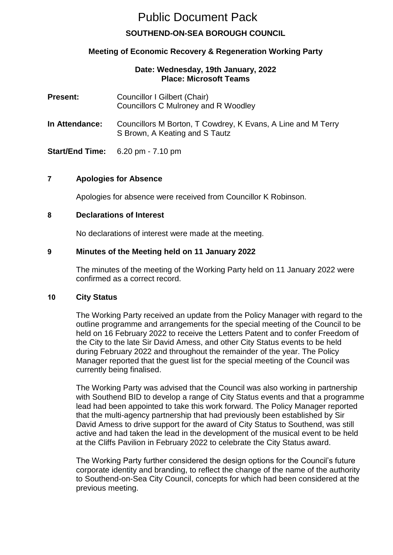# Public Document Pack

# **SOUTHEND-ON-SEA BOROUGH COUNCIL**

# **Meeting of Economic Recovery & Regeneration Working Party**

#### **Date: Wednesday, 19th January, 2022 Place: Microsoft Teams**

| <b>Present:</b> | Councillor I Gilbert (Chair)<br>Councillors C Mulroney and R Woodley                           |
|-----------------|------------------------------------------------------------------------------------------------|
| In Attendance:  | Councillors M Borton, T Cowdrey, K Evans, A Line and M Terry<br>S Brown, A Keating and S Tautz |
|                 | <b>Start/End Time:</b> $6.20 \text{ pm} - 7.10 \text{ pm}$                                     |

#### **7 Apologies for Absence**

Apologies for absence were received from Councillor K Robinson.

## **8 Declarations of Interest**

No declarations of interest were made at the meeting.

## **9 Minutes of the Meeting held on 11 January 2022**

The minutes of the meeting of the Working Party held on 11 January 2022 were confirmed as a correct record.

#### **10 City Status**

The Working Party received an update from the Policy Manager with regard to the outline programme and arrangements for the special meeting of the Council to be held on 16 February 2022 to receive the Letters Patent and to confer Freedom of the City to the late Sir David Amess, and other City Status events to be held during February 2022 and throughout the remainder of the year. The Policy Manager reported that the guest list for the special meeting of the Council was currently being finalised.

The Working Party was advised that the Council was also working in partnership with Southend BID to develop a range of City Status events and that a programme lead had been appointed to take this work forward. The Policy Manager reported that the multi-agency partnership that had previously been established by Sir David Amess to drive support for the award of City Status to Southend, was still active and had taken the lead in the development of the musical event to be held at the Cliffs Pavilion in February 2022 to celebrate the City Status award.

The Working Party further considered the design options for the Council's future corporate identity and branding, to reflect the change of the name of the authority to Southend-on-Sea City Council, concepts for which had been considered at the previous meeting.